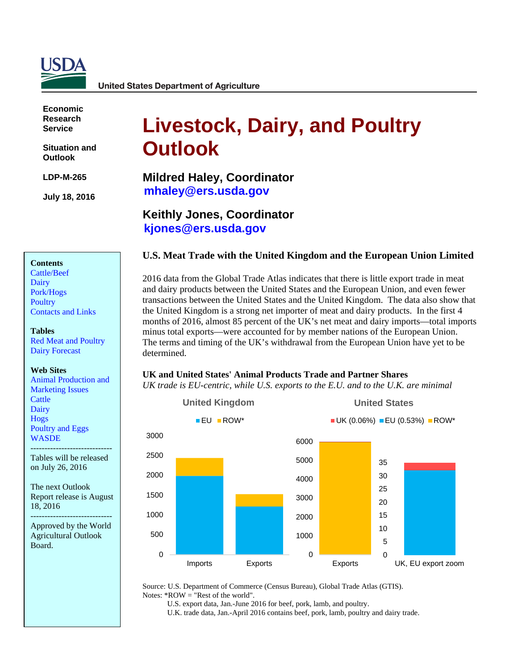

**Economic Research Service**

**Situation and Outlook** 

**LDP-M-265** 

**July 18, 2016**

# **Livestock, Dairy, and Poultry Outlook**

**Mildred Haley, Coordinator [mhaley@ers.usda.gov](mailto:mhaley@ers.usda.gov)**

**Keithly Jones, Coordinator [kjones@ers.usda.gov](mailto:kjones@ers.usda.gov)**

## **U.S. Meat Trade with the United Kingdom and the European Union Limited**

2016 data from the Global Trade Atlas indicates that there is little export trade in meat and dairy products between the United States and the European Union, and even fewer transactions between the United States and the United Kingdom. The data also show that the United Kingdom is a strong net importer of meat and dairy products. In the first 4 months of 2016, almost 85 percent of the UK's net meat and dairy imports—total imports minus total exports—were accounted for by member nations of the European Union. The terms and timing of the UK's withdrawal from the European Union have yet to be determined.

#### **Web Sites**

[Contacts and Links](#page-16-0) 

[Red Meat and Poultry](#page-17-0) [Dairy Forecast](#page-18-0)

**Contents** [Cattle/Beef](#page-2-0) [Dairy](#page-6-0) [Pork/Hogs](#page-9-0) **[Poultry](#page-13-0)** 

**Tables**

[Animal Production and](http://www.ers.usda.gov/topics/animal-products/animal-production-marketing-issues.aspx) [Marketing Issues](http://www.ers.usda.gov/topics/animal-products/animal-production-marketing-issues.aspx) **[Cattle](http://www.ers.usda.gov/topics/animal-products/cattle-beef.aspx)** [Dairy](http://www.ers.usda.gov/topics/animal-products/dairy.aspx) [Hogs](http://www.ers.usda.gov/topics/animal-products/hogs-pork.aspx) [Poultry and Eggs](http://www.ers.usda.gov/topics/animal-products/poultry-eggs.aspx) **[WASDE](http://usda.mannlib.cornell.edu/MannUsda/viewDocumentInfo.do?documentID=1194)** 

----------------------------- Tables will be released on July 26, 2016

The next Outlook Report release is August 18, 2016

----------------------------- Approved by the World Agricultural Outlook Board.

### **UK and United States' Animal Products Trade and Partner Shares**

*UK trade is EU-centric, while U.S. exports to the E.U. and to the U.K. are minimal*



Source: U.S. Department of Commerce (Census Bureau), Global Trade Atlas (GTIS). Notes:  $*ROW = "Rest of the world".$ 

U.S. export data, Jan.-June 2016 for beef, pork, lamb, and poultry.

U.K. trade data, Jan.-April 2016 contains beef, pork, lamb, poultry and dairy trade.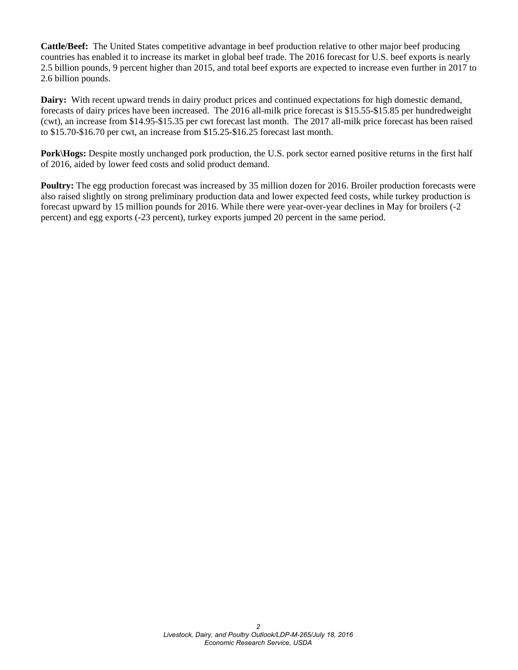**Cattle/Beef:** The United States competitive advantage in beef production relative to other major beef producing countries has enabled it to increase its market in global beef trade. The 2016 forecast for U.S. beef exports is nearly 2.5 billion pounds, 9 percent higher than 2015, and total beef exports are expected to increase even further in 2017 to 2.6 billion pounds.

**Dairy:** With recent upward trends in dairy product prices and continued expectations for high domestic demand, forecasts of dairy prices have been increased. The 2016 all-milk price forecast is \$15.55-\$15.85 per hundredweight (cwt), an increase from \$14.95-\$15.35 per cwt forecast last month. The 2017 all-milk price forecast has been raised to \$15.70-\$16.70 per cwt, an increase from \$15.25-\$16.25 forecast last month.

**Pork\Hogs:** Despite mostly unchanged pork production, the U.S. pork sector earned positive returns in the first half of 2016, aided by lower feed costs and solid product demand.

**Poultry:** The egg production forecast was increased by 35 million dozen for 2016. Broiler production forecasts were also raised slightly on strong preliminary production data and lower expected feed costs, while turkey production is forecast upward by 15 million pounds for 2016. While there were year-over-year declines in May for broilers (-2 percent) and egg exports (-23 percent), turkey exports jumped 20 percent in the same period.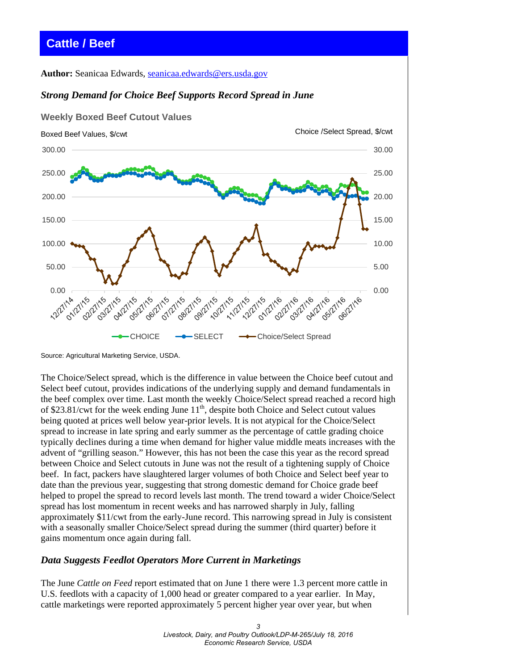# <span id="page-2-0"></span>**Cattle / Beef**

**Author:** Seanicaa Edwards, [seanicaa.edwards@ers.usda.gov](mailto:seanicaa.edwards@ers.usda.gov)

### *Strong Demand for Choice Beef Supports Record Spread in June*



Source: Agricultural Marketing Service, USDA.

The Choice/Select spread, which is the difference in value between the Choice beef cutout and Select beef cutout, provides indications of the underlying supply and demand fundamentals in the beef complex over time. Last month the weekly Choice/Select spread reached a record high of \$23.81/cwt for the week ending June  $11<sup>th</sup>$ , despite both Choice and Select cutout values being quoted at prices well below year-prior levels. It is not atypical for the Choice/Select spread to increase in late spring and early summer as the percentage of cattle grading choice typically declines during a time when demand for higher value middle meats increases with the advent of "grilling season." However, this has not been the case this year as the record spread between Choice and Select cutouts in June was not the result of a tightening supply of Choice beef. In fact, packers have slaughtered larger volumes of both Choice and Select beef year to date than the previous year, suggesting that strong domestic demand for Choice grade beef helped to propel the spread to record levels last month. The trend toward a wider Choice/Select spread has lost momentum in recent weeks and has narrowed sharply in July, falling approximately \$11/cwt from the early-June record. This narrowing spread in July is consistent with a seasonally smaller Choice/Select spread during the summer (third quarter) before it gains momentum once again during fall.

#### *Data Suggests Feedlot Operators More Current in Marketings*

The June *Cattle on Feed* report estimated that on June 1 there were 1.3 percent more cattle in U.S. feedlots with a capacity of 1,000 head or greater compared to a year earlier. In May, cattle marketings were reported approximately 5 percent higher year over year, but when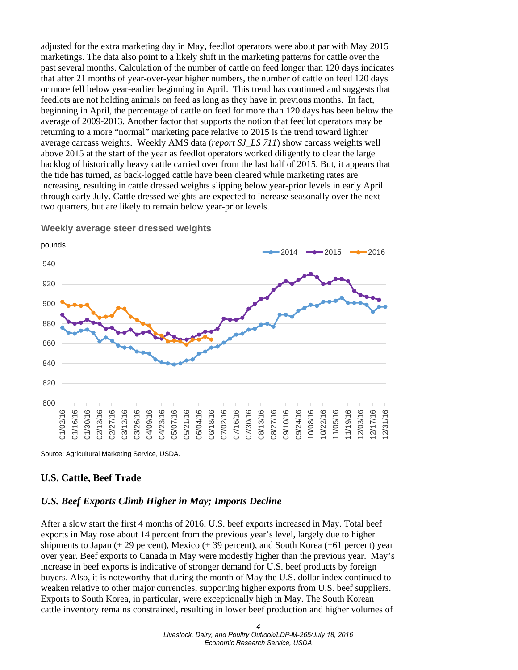adjusted for the extra marketing day in May, feedlot operators were about par with May 2015 marketings. The data also point to a likely shift in the marketing patterns for cattle over the past several months. Calculation of the number of cattle on feed longer than 120 days indicates that after 21 months of year-over-year higher numbers, the number of cattle on feed 120 days or more fell below year-earlier beginning in April. This trend has continued and suggests that feedlots are not holding animals on feed as long as they have in previous months. In fact, beginning in April, the percentage of cattle on feed for more than 120 days has been below the average of 2009-2013. Another factor that supports the notion that feedlot operators may be returning to a more "normal" marketing pace relative to 2015 is the trend toward lighter average carcass weights. Weekly AMS data (*report SJ\_LS 711*) show carcass weights well above 2015 at the start of the year as feedlot operators worked diligently to clear the large backlog of historically heavy cattle carried over from the last half of 2015. But, it appears that the tide has turned, as back-logged cattle have been cleared while marketing rates are increasing, resulting in cattle dressed weights slipping below year-prior levels in early April through early July. Cattle dressed weights are expected to increase seasonally over the next two quarters, but are likely to remain below year-prior levels.



**Weekly average steer dressed weights** 

Source: Agricultural Marketing Service, USDA.

#### **U.S. Cattle, Beef Trade**

#### *U.S. Beef Exports Climb Higher in May; Imports Decline*

After a slow start the first 4 months of 2016, U.S. beef exports increased in May. Total beef exports in May rose about 14 percent from the previous year's level, largely due to higher shipments to Japan  $(+ 29$  percent), Mexico  $(+ 39$  percent), and South Korea  $(+61$  percent) year over year. Beef exports to Canada in May were modestly higher than the previous year. May's increase in beef exports is indicative of stronger demand for U.S. beef products by foreign buyers. Also, it is noteworthy that during the month of May the U.S. dollar index continued to weaken relative to other major currencies, supporting higher exports from U.S. beef suppliers. Exports to South Korea, in particular, were exceptionally high in May. The South Korean cattle inventory remains constrained, resulting in lower beef production and higher volumes of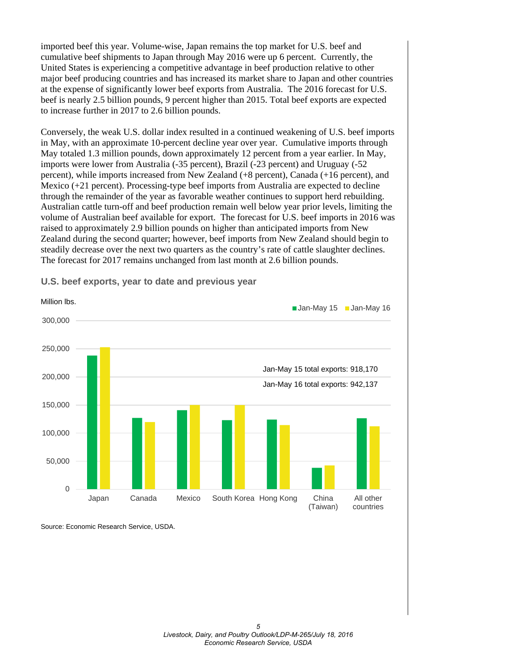imported beef this year. Volume-wise, Japan remains the top market for U.S. beef and cumulative beef shipments to Japan through May 2016 were up 6 percent. Currently, the United States is experiencing a competitive advantage in beef production relative to other major beef producing countries and has increased its market share to Japan and other countries at the expense of significantly lower beef exports from Australia. The 2016 forecast for U.S. beef is nearly 2.5 billion pounds, 9 percent higher than 2015. Total beef exports are expected to increase further in 2017 to 2.6 billion pounds.

Conversely, the weak U.S. dollar index resulted in a continued weakening of U.S. beef imports in May, with an approximate 10-percent decline year over year. Cumulative imports through May totaled 1.3 million pounds, down approximately 12 percent from a year earlier. In May, imports were lower from Australia (-35 percent), Brazil (-23 percent) and Uruguay (-52 percent), while imports increased from New Zealand (+8 percent), Canada (+16 percent), and Mexico (+21 percent). Processing-type beef imports from Australia are expected to decline through the remainder of the year as favorable weather continues to support herd rebuilding. Australian cattle turn-off and beef production remain well below year prior levels, limiting the volume of Australian beef available for export. The forecast for U.S. beef imports in 2016 was raised to approximately 2.9 billion pounds on higher than anticipated imports from New Zealand during the second quarter; however, beef imports from New Zealand should begin to steadily decrease over the next two quarters as the country's rate of cattle slaughter declines. The forecast for 2017 remains unchanged from last month at 2.6 billion pounds.



**U.S. beef exports, year to date and previous year**

Source: Economic Research Service, USDA.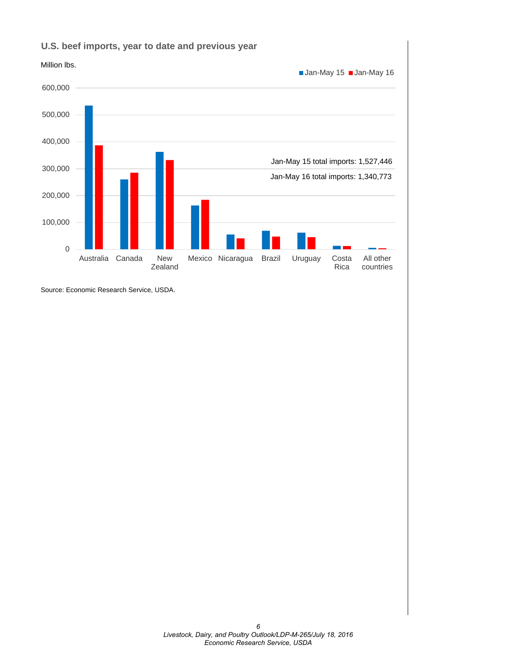

## **U.S. beef imports, year to date and previous year**

Source: Economic Research Service, USDA.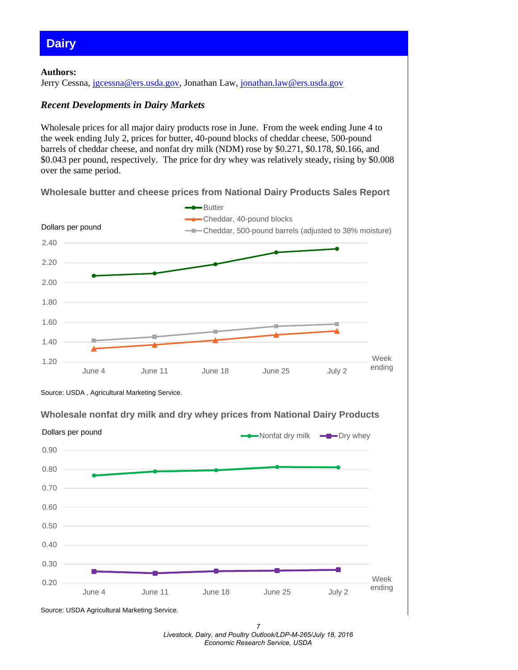## <span id="page-6-0"></span>**Dairy**

#### **Authors:**

Jerry Cessna, [jgcessna@ers.usda.gov,](mailto:jgcessna@ers.usda.gov) Jonathan Law, [jonathan.law@ers.usda.gov](mailto:jonathan.law@ers.usda.gov)

#### *Recent Developments in Dairy Markets*

Wholesale prices for all major dairy products rose in June. From the week ending June 4 to the week ending July 2, prices for butter, 40-pound blocks of cheddar cheese, 500-pound barrels of cheddar cheese, and nonfat dry milk (NDM) rose by \$0.271, \$0.178, \$0.166, and \$0.043 per pound, respectively. The price for dry whey was relatively steady, rising by \$0.008 over the same period.

**Wholesale butter and cheese prices from National Dairy Products Sales Report**





0.20 0.30 0.40 0.50 0.60 0.70 0.80 0.90 June 4 June 11 June 18 June 25 July 2 Week ending  $\longrightarrow$  Nonfat dry milk  $\longrightarrow$  Dry whey Dollars per pound

**Wholesale nonfat dry milk and dry whey prices from National Dairy Products** 

Source: USDA Agricultural Marketing Service.

*7 Livestock, Dairy, and Poultry Outlook/LDP-M-265/July 18, 2016 Economic Research Service, USDA*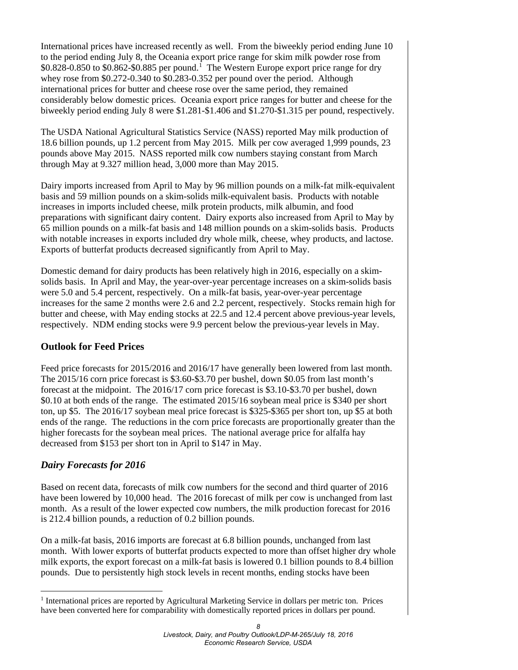International prices have increased recently as well. From the biweekly period ending June 10 to the period ending July 8, the Oceania export price range for skim milk powder rose from  $$0.828-0.850$  to  $$0.862-$0.885$  per pound.<sup>[1](#page-7-0)</sup> The Western Europe export price range for dry whey rose from \$0.272-0.340 to \$0.283-0.352 per pound over the period. Although international prices for butter and cheese rose over the same period, they remained considerably below domestic prices. Oceania export price ranges for butter and cheese for the biweekly period ending July 8 were \$1.281-\$1.406 and \$1.270-\$1.315 per pound, respectively.

The USDA National Agricultural Statistics Service (NASS) reported May milk production of 18.6 billion pounds, up 1.2 percent from May 2015. Milk per cow averaged 1,999 pounds, 23 pounds above May 2015. NASS reported milk cow numbers staying constant from March through May at 9.327 million head, 3,000 more than May 2015.

Dairy imports increased from April to May by 96 million pounds on a milk-fat milk-equivalent basis and 59 million pounds on a skim-solids milk-equivalent basis. Products with notable increases in imports included cheese, milk protein products, milk albumin, and food preparations with significant dairy content. Dairy exports also increased from April to May by 65 million pounds on a milk-fat basis and 148 million pounds on a skim-solids basis. Products with notable increases in exports included dry whole milk, cheese, whey products, and lactose. Exports of butterfat products decreased significantly from April to May.

Domestic demand for dairy products has been relatively high in 2016, especially on a skimsolids basis. In April and May, the year-over-year percentage increases on a skim-solids basis were 5.0 and 5.4 percent, respectively. On a milk-fat basis, year-over-year percentage increases for the same 2 months were 2.6 and 2.2 percent, respectively. Stocks remain high for butter and cheese, with May ending stocks at 22.5 and 12.4 percent above previous-year levels, respectively. NDM ending stocks were 9.9 percent below the previous-year levels in May.

## **Outlook for Feed Prices**

Feed price forecasts for 2015/2016 and 2016/17 have generally been lowered from last month. The 2015/16 corn price forecast is \$3.60-\$3.70 per bushel, down \$0.05 from last month's forecast at the midpoint. The 2016/17 corn price forecast is \$3.10-\$3.70 per bushel, down \$0.10 at both ends of the range. The estimated 2015/16 soybean meal price is \$340 per short ton, up \$5. The 2016/17 soybean meal price forecast is \$325-\$365 per short ton, up \$5 at both ends of the range. The reductions in the corn price forecasts are proportionally greater than the higher forecasts for the soybean meal prices. The national average price for alfalfa hay decreased from \$153 per short ton in April to \$147 in May.

## *Dairy Forecasts for 2016*

Based on recent data, forecasts of milk cow numbers for the second and third quarter of 2016 have been lowered by 10,000 head. The 2016 forecast of milk per cow is unchanged from last month. As a result of the lower expected cow numbers, the milk production forecast for 2016 is 212.4 billion pounds, a reduction of 0.2 billion pounds.

On a milk-fat basis, 2016 imports are forecast at 6.8 billion pounds, unchanged from last month. With lower exports of butterfat products expected to more than offset higher dry whole milk exports, the export forecast on a milk-fat basis is lowered 0.1 billion pounds to 8.4 billion pounds. Due to persistently high stock levels in recent months, ending stocks have been

<span id="page-7-0"></span><sup>-</sup><sup>1</sup> International prices are reported by Agricultural Marketing Service in dollars per metric ton. Prices have been converted here for comparability with domestically reported prices in dollars per pound.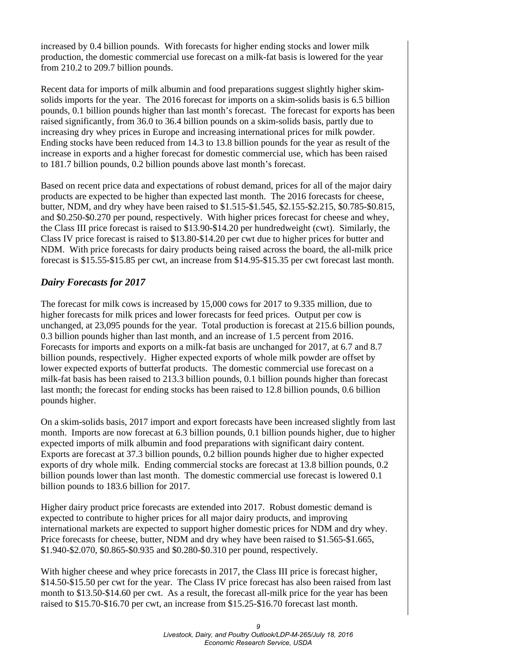increased by 0.4 billion pounds. With forecasts for higher ending stocks and lower milk production, the domestic commercial use forecast on a milk-fat basis is lowered for the year from 210.2 to 209.7 billion pounds.

Recent data for imports of milk albumin and food preparations suggest slightly higher skimsolids imports for the year. The 2016 forecast for imports on a skim-solids basis is 6.5 billion pounds, 0.1 billion pounds higher than last month's forecast. The forecast for exports has been raised significantly, from 36.0 to 36.4 billion pounds on a skim-solids basis, partly due to increasing dry whey prices in Europe and increasing international prices for milk powder. Ending stocks have been reduced from 14.3 to 13.8 billion pounds for the year as result of the increase in exports and a higher forecast for domestic commercial use, which has been raised to 181.7 billion pounds, 0.2 billion pounds above last month's forecast.

Based on recent price data and expectations of robust demand, prices for all of the major dairy products are expected to be higher than expected last month. The 2016 forecasts for cheese, butter, NDM, and dry whey have been raised to \$1.515-\$1.545, \$2.155-\$2.215, \$0.785-\$0.815, and \$0.250-\$0.270 per pound, respectively. With higher prices forecast for cheese and whey, the Class III price forecast is raised to \$13.90-\$14.20 per hundredweight (cwt). Similarly, the Class IV price forecast is raised to \$13.80-\$14.20 per cwt due to higher prices for butter and NDM. With price forecasts for dairy products being raised across the board, the all-milk price forecast is \$15.55-\$15.85 per cwt, an increase from \$14.95-\$15.35 per cwt forecast last month.

## *Dairy Forecasts for 2017*

The forecast for milk cows is increased by 15,000 cows for 2017 to 9.335 million, due to higher forecasts for milk prices and lower forecasts for feed prices. Output per cow is unchanged, at 23,095 pounds for the year. Total production is forecast at 215.6 billion pounds, 0.3 billion pounds higher than last month, and an increase of 1.5 percent from 2016. Forecasts for imports and exports on a milk-fat basis are unchanged for 2017, at 6.7 and 8.7 billion pounds, respectively. Higher expected exports of whole milk powder are offset by lower expected exports of butterfat products. The domestic commercial use forecast on a milk-fat basis has been raised to 213.3 billion pounds, 0.1 billion pounds higher than forecast last month; the forecast for ending stocks has been raised to 12.8 billion pounds, 0.6 billion pounds higher.

On a skim-solids basis, 2017 import and export forecasts have been increased slightly from last month. Imports are now forecast at 6.3 billion pounds, 0.1 billion pounds higher, due to higher expected imports of milk albumin and food preparations with significant dairy content. Exports are forecast at 37.3 billion pounds, 0.2 billion pounds higher due to higher expected exports of dry whole milk. Ending commercial stocks are forecast at 13.8 billion pounds, 0.2 billion pounds lower than last month. The domestic commercial use forecast is lowered 0.1 billion pounds to 183.6 billion for 2017.

Higher dairy product price forecasts are extended into 2017. Robust domestic demand is expected to contribute to higher prices for all major dairy products, and improving international markets are expected to support higher domestic prices for NDM and dry whey. Price forecasts for cheese, butter, NDM and dry whey have been raised to \$1.565-\$1.665, \$1.940-\$2.070, \$0.865-\$0.935 and \$0.280-\$0.310 per pound, respectively.

With higher cheese and whey price forecasts in 2017, the Class III price is forecast higher, \$14.50-\$15.50 per cwt for the year. The Class IV price forecast has also been raised from last month to \$13.50-\$14.60 per cwt. As a result, the forecast all-milk price for the year has been raised to \$15.70-\$16.70 per cwt, an increase from \$15.25-\$16.70 forecast last month.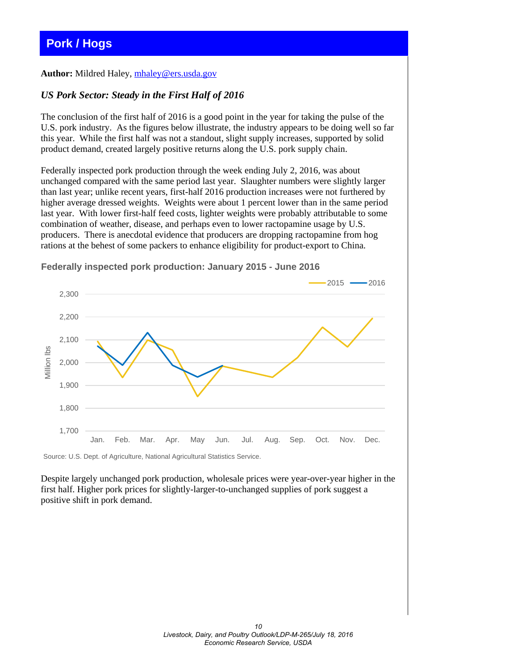# <span id="page-9-0"></span>**Pork / Hogs**

#### **Author:** Mildred Haley, [mhaley@ers.usda.gov](mailto:mhaley@ers.usda.gov)

#### *US Pork Sector: Steady in the First Half of 2016*

The conclusion of the first half of 2016 is a good point in the year for taking the pulse of the U.S. pork industry. As the figures below illustrate, the industry appears to be doing well so far this year. While the first half was not a standout, slight supply increases, supported by solid product demand, created largely positive returns along the U.S. pork supply chain.

Federally inspected pork production through the week ending July 2, 2016, was about unchanged compared with the same period last year. Slaughter numbers were slightly larger than last year; unlike recent years, first-half 2016 production increases were not furthered by higher average dressed weights. Weights were about 1 percent lower than in the same period last year. With lower first-half feed costs, lighter weights were probably attributable to some combination of weather, disease, and perhaps even to lower ractopamine usage by U.S. producers. There is anecdotal evidence that producers are dropping ractopamine from hog rations at the behest of some packers to enhance eligibility for product-export to China.



**Federally inspected pork production: January 2015 - June 2016**

Source: U.S. Dept. of Agriculture, National Agricultural Statistics Service.

Despite largely unchanged pork production, wholesale prices were year-over-year higher in the first half. Higher pork prices for slightly-larger-to-unchanged supplies of pork suggest a positive shift in pork demand.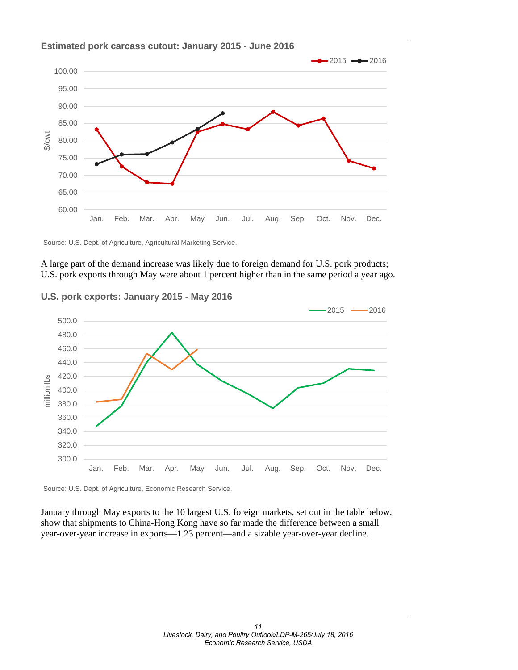

Source: U.S. Dept. of Agriculture, Agricultural Marketing Service.

A large part of the demand increase was likely due to foreign demand for U.S. pork products; U.S. pork exports through May were about 1 percent higher than in the same period a year ago.

**U.S. pork exports: January 2015 - May 2016**



Source: U.S. Dept. of Agriculture, Economic Research Service.

January through May exports to the 10 largest U.S. foreign markets, set out in the table below, show that shipments to China-Hong Kong have so far made the difference between a small year-over-year increase in exports—1.23 percent—and a sizable year-over-year decline.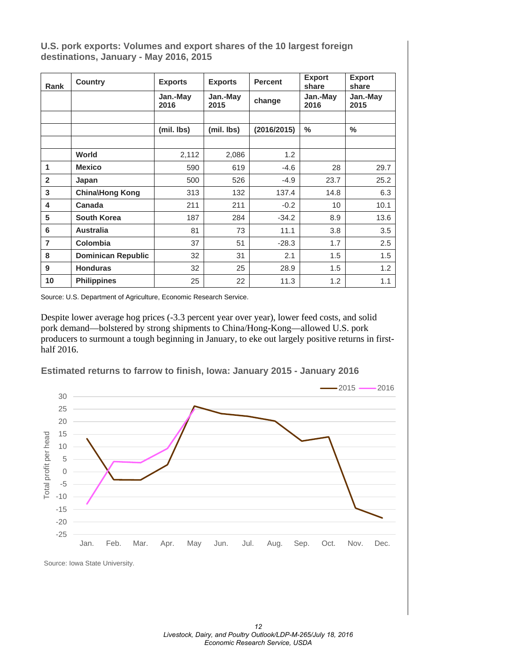**U.S. pork exports: Volumes and export shares of the 10 largest foreign destinations, January - May 2016, 2015**

| Rank           | <b>Country</b>            | <b>Exports</b>   | <b>Exports</b>   | <b>Percent</b> | <b>Export</b><br>share | <b>Export</b><br>share<br>Jan.-May<br>2015 |  |
|----------------|---------------------------|------------------|------------------|----------------|------------------------|--------------------------------------------|--|
|                |                           | Jan.-May<br>2016 | Jan.-May<br>2015 | change         | Jan.-May<br>2016       |                                            |  |
|                |                           |                  |                  |                |                        |                                            |  |
|                |                           | (mil. lbs)       | (mil. lbs)       | (2016/2015)    | $\%$                   | $\%$                                       |  |
|                |                           |                  |                  |                |                        |                                            |  |
|                | World                     | 2,112            | 2,086            | 1.2            |                        |                                            |  |
| 1              | <b>Mexico</b>             | 590              | 619              | $-4.6$         | 28                     | 29.7                                       |  |
| $\overline{2}$ | Japan                     | 500              | 526              | $-4.9$         | 23.7                   | 25.2                                       |  |
| 3              | China\Hong Kong           | 313              | 132              | 137.4          | 14.8                   | 6.3                                        |  |
| 4              | Canada                    | 211              | 211              | $-0.2$         | 10                     | 10.1                                       |  |
| 5              | <b>South Korea</b>        | 187              | 284              | $-34.2$        | 8.9                    | 13.6                                       |  |
| 6              | <b>Australia</b>          | 81               | 73               | 11.1           | 3.8                    | 3.5                                        |  |
| $\overline{7}$ | <b>Colombia</b>           | 37               | 51               | $-28.3$        | 1.7                    | 2.5                                        |  |
| 8              | <b>Dominican Republic</b> | 32               | 31               | 2.1            | 1.5                    | 1.5                                        |  |
| 9              | <b>Honduras</b>           | 32               | 25               | 28.9           | 1.5                    | 1.2                                        |  |
| 10             | <b>Philippines</b>        | 25               | 22               | 11.3           | 1.2                    | 1.1                                        |  |

Source: U.S. Department of Agriculture, Economic Research Service.

Despite lower average hog prices (-3.3 percent year over year), lower feed costs, and solid pork demand—bolstered by strong shipments to China/Hong-Kong—allowed U.S. pork producers to surmount a tough beginning in January, to eke out largely positive returns in firsthalf 2016.

**Estimated returns to farrow to finish, Iowa: January 2015 - January 2016**

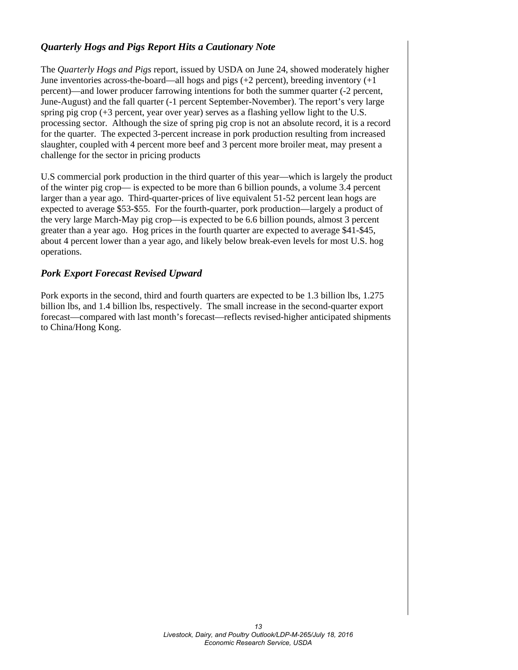## *Quarterly Hogs and Pigs Report Hits a Cautionary Note*

The *Quarterly Hogs and Pigs* report, issued by USDA on June 24, showed moderately higher June inventories across-the-board—all hogs and pigs  $(+2 \text{ percent})$ , breeding inventory  $(+1 \text{ percent})$ percent)—and lower producer farrowing intentions for both the summer quarter (-2 percent, June-August) and the fall quarter (-1 percent September-November). The report's very large spring pig crop (+3 percent, year over year) serves as a flashing yellow light to the U.S. processing sector. Although the size of spring pig crop is not an absolute record, it is a record for the quarter. The expected 3-percent increase in pork production resulting from increased slaughter, coupled with 4 percent more beef and 3 percent more broiler meat, may present a challenge for the sector in pricing products

U.S commercial pork production in the third quarter of this year—which is largely the product of the winter pig crop— is expected to be more than 6 billion pounds, a volume 3.4 percent larger than a year ago. Third-quarter-prices of live equivalent 51-52 percent lean hogs are expected to average \$53-\$55. For the fourth-quarter, pork production—largely a product of the very large March-May pig crop—is expected to be 6.6 billion pounds, almost 3 percent greater than a year ago. Hog prices in the fourth quarter are expected to average \$41-\$45, about 4 percent lower than a year ago, and likely below break-even levels for most U.S. hog operations.

## *Pork Export Forecast Revised Upward*

Pork exports in the second, third and fourth quarters are expected to be 1.3 billion lbs, 1.275 billion lbs, and 1.4 billion lbs, respectively. The small increase in the second-quarter export forecast—compared with last month's forecast—reflects revised-higher anticipated shipments to China/Hong Kong.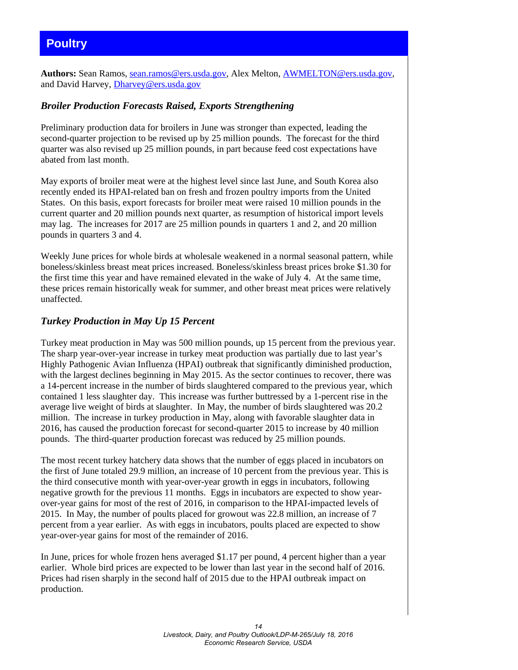# <span id="page-13-0"></span>**Poultry**

**Authors:** Sean Ramos, [sean.ramos@ers.usda.gov,](mailto:sean.ramos@ers.usda.gov) Alex Melton, [AWMELTON@ers.usda.gov,](mailto:AWMELTON@ers.usda.gov) and David Harvey, [Dharvey@ers.usda.gov](mailto:Dharvey@ers.usda.gov)

## *Broiler Production Forecasts Raised, Exports Strengthening*

Preliminary production data for broilers in June was stronger than expected, leading the second-quarter projection to be revised up by 25 million pounds. The forecast for the third quarter was also revised up 25 million pounds, in part because feed cost expectations have abated from last month.

May exports of broiler meat were at the highest level since last June, and South Korea also recently ended its HPAI-related ban on fresh and frozen poultry imports from the United States. On this basis, export forecasts for broiler meat were raised 10 million pounds in the current quarter and 20 million pounds next quarter, as resumption of historical import levels may lag. The increases for 2017 are 25 million pounds in quarters 1 and 2, and 20 million pounds in quarters 3 and 4.

Weekly June prices for whole birds at wholesale weakened in a normal seasonal pattern, while boneless/skinless breast meat prices increased. Boneless/skinless breast prices broke \$1.30 for the first time this year and have remained elevated in the wake of July 4. At the same time, these prices remain historically weak for summer, and other breast meat prices were relatively unaffected.

## *Turkey Production in May Up 15 Percent*

Turkey meat production in May was 500 million pounds, up 15 percent from the previous year. The sharp year-over-year increase in turkey meat production was partially due to last year's Highly Pathogenic Avian Influenza (HPAI) outbreak that significantly diminished production, with the largest declines beginning in May 2015. As the sector continues to recover, there was a 14-percent increase in the number of birds slaughtered compared to the previous year, which contained 1 less slaughter day. This increase was further buttressed by a 1-percent rise in the average live weight of birds at slaughter. In May, the number of birds slaughtered was 20.2 million. The increase in turkey production in May, along with favorable slaughter data in 2016, has caused the production forecast for second-quarter 2015 to increase by 40 million pounds. The third-quarter production forecast was reduced by 25 million pounds.

The most recent turkey hatchery data shows that the number of eggs placed in incubators on the first of June totaled 29.9 million, an increase of 10 percent from the previous year. This is the third consecutive month with year-over-year growth in eggs in incubators, following negative growth for the previous 11 months. Eggs in incubators are expected to show yearover-year gains for most of the rest of 2016, in comparison to the HPAI-impacted levels of 2015. In May, the number of poults placed for growout was 22.8 million, an increase of 7 percent from a year earlier. As with eggs in incubators, poults placed are expected to show year-over-year gains for most of the remainder of 2016.

In June, prices for whole frozen hens averaged \$1.17 per pound, 4 percent higher than a year earlier. Whole bird prices are expected to be lower than last year in the second half of 2016. Prices had risen sharply in the second half of 2015 due to the HPAI outbreak impact on production.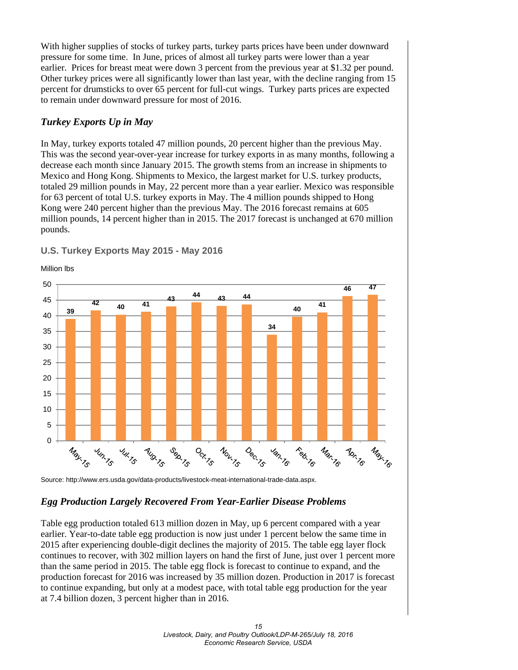With higher supplies of stocks of turkey parts, turkey parts prices have been under downward pressure for some time. In June, prices of almost all turkey parts were lower than a year earlier. Prices for breast meat were down 3 percent from the previous year at \$1.32 per pound. Other turkey prices were all significantly lower than last year, with the decline ranging from 15 percent for drumsticks to over 65 percent for full-cut wings. Turkey parts prices are expected to remain under downward pressure for most of 2016.

## *Turkey Exports Up in May*

In May, turkey exports totaled 47 million pounds, 20 percent higher than the previous May. This was the second year-over-year increase for turkey exports in as many months, following a decrease each month since January 2015. The growth stems from an increase in shipments to Mexico and Hong Kong. Shipments to Mexico, the largest market for U.S. turkey products, totaled 29 million pounds in May, 22 percent more than a year earlier. Mexico was responsible for 63 percent of total U.S. turkey exports in May. The 4 million pounds shipped to Hong Kong were 240 percent higher than the previous May. The 2016 forecast remains at 605 million pounds, 14 percent higher than in 2015. The 2017 forecast is unchanged at 670 million pounds.



**U.S. Turkey Exports May 2015 - May 2016**

Source: http://www.ers.usda.gov/data-products/livestock-meat-international-trade-data.aspx.

## *Egg Production Largely Recovered From Year-Earlier Disease Problems*

Table egg production totaled 613 million dozen in May, up 6 percent compared with a year earlier. Year-to-date table egg production is now just under 1 percent below the same time in 2015 after experiencing double-digit declines the majority of 2015. The table egg layer flock continues to recover, with 302 million layers on hand the first of June, just over 1 percent more than the same period in 2015. The table egg flock is forecast to continue to expand, and the production forecast for 2016 was increased by 35 million dozen. Production in 2017 is forecast to continue expanding, but only at a modest pace, with total table egg production for the year at 7.4 billion dozen, 3 percent higher than in 2016.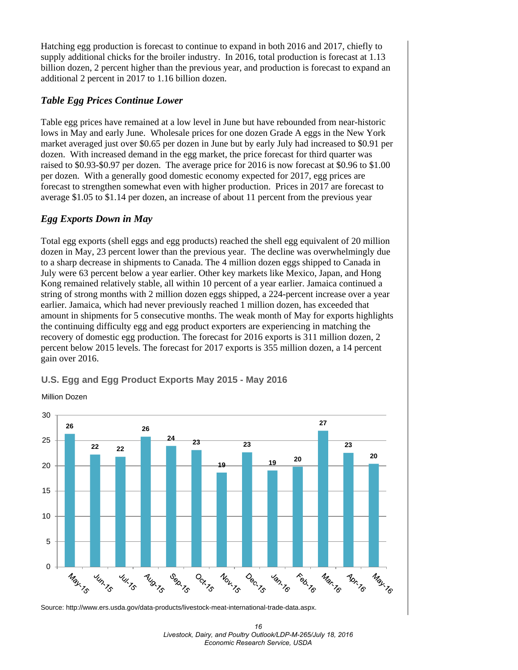Hatching egg production is forecast to continue to expand in both 2016 and 2017, chiefly to supply additional chicks for the broiler industry. In 2016, total production is forecast at 1.13 billion dozen, 2 percent higher than the previous year, and production is forecast to expand an additional 2 percent in 2017 to 1.16 billion dozen.

## *Table Egg Prices Continue Lower*

Table egg prices have remained at a low level in June but have rebounded from near-historic lows in May and early June. Wholesale prices for one dozen Grade A eggs in the New York market averaged just over \$0.65 per dozen in June but by early July had increased to \$0.91 per dozen. With increased demand in the egg market, the price forecast for third quarter was raised to \$0.93-\$0.97 per dozen. The average price for 2016 is now forecast at \$0.96 to \$1.00 per dozen. With a generally good domestic economy expected for 2017, egg prices are forecast to strengthen somewhat even with higher production. Prices in 2017 are forecast to average \$1.05 to \$1.14 per dozen, an increase of about 11 percent from the previous year

## *Egg Exports Down in May*

Total egg exports (shell eggs and egg products) reached the shell egg equivalent of 20 million dozen in May, 23 percent lower than the previous year. The decline was overwhelmingly due to a sharp decrease in shipments to Canada. The 4 million dozen eggs shipped to Canada in July were 63 percent below a year earlier. Other key markets like Mexico, Japan, and Hong Kong remained relatively stable, all within 10 percent of a year earlier. Jamaica continued a string of strong months with 2 million dozen eggs shipped, a 224-percent increase over a year earlier. Jamaica, which had never previously reached 1 million dozen, has exceeded that amount in shipments for 5 consecutive months. The weak month of May for exports highlights the continuing difficulty egg and egg product exporters are experiencing in matching the recovery of domestic egg production. The forecast for 2016 exports is 311 million dozen, 2 percent below 2015 levels. The forecast for 2017 exports is 355 million dozen, a 14 percent gain over 2016.



## **U.S. Egg and Egg Product Exports May 2015 - May 2016**

Million Dozen

Source: http://www.ers.usda.gov/data-products/livestock-meat-international-trade-data.aspx.

*<sup>16</sup>  Livestock, Dairy, and Poultry Outlook/LDP-M-265/July 18, 2016 Economic Research Service, USDA*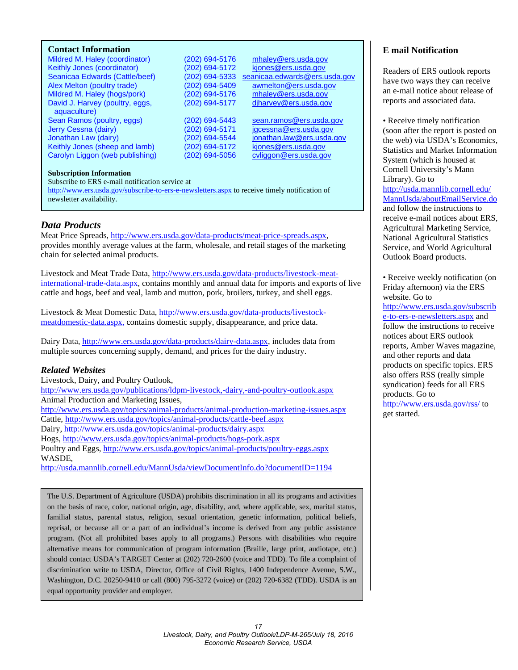#### <span id="page-16-0"></span>**Contact Information**

Mildred M. Haley (coordinator) (202) 694-5176 [mhaley@ers.usda.gov](mailto:mhaley@ers.usda.gov)<br>Keithly Jones (coordinator) (202) 694-5172 kjones@ers.usda.gov Keithly Jones (coordinator)<br>Seanicaa Edwards (Cattle/beef) Alex Melton (poultry trade) <br>
Mildred M. Haley (hogs/pork) (202) 694-5176 mhaley@ers.usda.gov Mildred M. Haley (hogs/pork) (202) 694-5176 [mhaley@ers.usda.gov](mailto:mhaley@ers.usda.gov)<br>David J. Harvey (poultry, eggs. (202) 694-5177 diharvey@ers.usda.gov David J. Harvey (poultry, eggs, aquaculture) Sean Ramos (poultry, eggs) (202) 694-5443 [sean.ramos@ers.usda.gov](mailto:sean.ramos@ers.usda.gov) Jerry Cessna (dairy) (202) 694-5171 [jgcessna@ers.usda.gov](mailto:jgcessna@ers.usda.gov) Jonathan Law (dairy) (202) 694-5544 [jonathan.law@ers.usda.gov](mailto:jonathan.law@ers.usda.gov)<br>Keithly Jones (sheep and lamb) (202) 694-5172 kiones@ers.usda.gov Keithly Jones (sheep and lamb) (202) 694-5172 [kjones@ers.usda.gov](mailto:kjones@ers.usda.gov)<br>Carolyn Liggon (web publishing) (202) 694-5056 cyliggon@ers.usda.gov Carolyn Liggon (web publishing) (202) 694-5056

 $(202)$  694-5333 seanicaa.edwards@ers.usda.gov

#### **Subscription Information**

#### Subscribe to ERS e-mail notification service at

<http://www.ers.usda.gov/subscribe-to-ers-e-newsletters.aspx> to receive timely notification of newsletter availability.

#### *Data Products*

Meat Price Spreads, [http://www.ers.usda.gov/data-products/meat-price-spreads.aspx,](http://www.ers.usda.gov/data-products/meat-price-spreads.aspx) provides monthly average values at the farm, wholesale, and retail stages of the marketing chain for selected animal products.

Livestock and Meat Trade Data, [http://www.ers.usda.gov/data-products/livestock-meat](http://www.ers.usda.gov/data-products/livestock-meat-international-trade-data.aspx)[international-trade-data.aspx,](http://www.ers.usda.gov/data-products/livestock-meat-international-trade-data.aspx) contains monthly and annual data for imports and exports of live cattle and hogs, beef and veal, lamb and mutton, pork, broilers, turkey, and shell eggs.

Livestock & Meat Domestic Data, [http://www.ers.usda.gov/data-products/livestock](http://www.ers.usda.gov/data-products/livestock-meatdomestic-data.aspx)[meatdomestic-data.aspx,](http://www.ers.usda.gov/data-products/livestock-meatdomestic-data.aspx) contains domestic supply, disappearance, and price data.

Dairy Data, [http://www.ers.usda.gov/data-products/dairy-data.aspx,](http://www.ers.usda.gov/data-products/dairy-data.aspx) includes data from multiple sources concerning supply, demand, and prices for the dairy industry.

#### *Related Websites*

Livestock, Dairy, and Poultry Outlook, <http://www.ers.usda.gov/publications/ldpm-livestock,-dairy,-and-poultry-outlook.aspx> Animal Production and Marketing Issues, <http://www.ers.usda.gov/topics/animal-products/animal-production-marketing-issues.aspx> Cattle,<http://www.ers.usda.gov/topics/animal-products/cattle-beef.aspx> Dairy,<http://www.ers.usda.gov/topics/animal-products/dairy.aspx> Hogs,<http://www.ers.usda.gov/topics/animal-products/hogs-pork.aspx> Poultry and Eggs,<http://www.ers.usda.gov/topics/animal-products/poultry-eggs.aspx> WASDE, <http://usda.mannlib.cornell.edu/MannUsda/viewDocumentInfo.do?documentID=1194>

The U.S. Department of Agriculture (USDA) prohibits discrimination in all its programs and activities on the basis of race, color, national origin, age, disability, and, where applicable, sex, marital status, familial status, parental status, religion, sexual orientation, genetic information, political beliefs, reprisal, or because all or a part of an individual's income is derived from any public assistance program. (Not all prohibited bases apply to all programs.) Persons with disabilities who require alternative means for communication of program information (Braille, large print, audiotape, etc.) should contact USDA's TARGET Center at (202) 720-2600 (voice and TDD). To file a complaint of discrimination write to USDA, Director, Office of Civil Rights, 1400 Independence Avenue, S.W., Washington, D.C. 20250-9410 or call (800) 795-3272 (voice) or (202) 720-6382 (TDD). USDA is an equal opportunity provider and employer.

#### **E mail Notification**

Readers of ERS outlook reports have two ways they can receive an e-mail notice about release of reports and associated data.

• Receive timely notification (soon after the report is posted on the web) via USDA's Economics, Statistics and Market Information System (which is housed at Cornell University's Mann Library). Go to [http://usda.mannlib.cornell.edu/](http://usda.mannlib.cornell.edu/MannUsda/aboutEmailService.do) [MannUsda/aboutEmailService.do](http://usda.mannlib.cornell.edu/MannUsda/aboutEmailService.do) and follow the instructions to receive e-mail notices about ERS, Agricultural Marketing Service, National Agricultural Statistics Service, and World Agricultural Outlook Board products.

• Receive weekly notification (on Friday afternoon) via the ERS website. Go to

[http://www.ers.usda.gov/subscrib](http://www.ers.usda.gov/subscribe-to-ers-e-newsletters.aspx) [e-to-ers-e-newsletters.aspx](http://www.ers.usda.gov/subscribe-to-ers-e-newsletters.aspx) and follow the instructions to receive notices about ERS outlook reports, Amber Waves magazine, and other reports and data products on specific topics. ERS also offers RSS (really simple syndication) feeds for all ERS products. Go to <http://www.ers.usda.gov/rss/> to get started.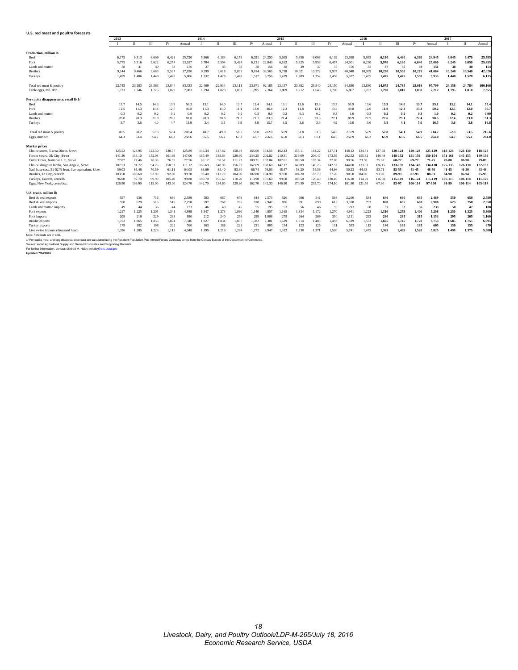<span id="page-17-0"></span>

| U.S. red meat and poultry forecasts                    |        |        |        |        |        |        |        |        |        |        |        |        |        |        |        |        |        |         |           |         |         |         |         |
|--------------------------------------------------------|--------|--------|--------|--------|--------|--------|--------|--------|--------|--------|--------|--------|--------|--------|--------|--------|--------|---------|-----------|---------|---------|---------|---------|
|                                                        | 2013   |        |        |        |        | 2014   |        |        |        |        | 2015   |        |        |        |        | 2016   |        |         |           |         | 2017    |         |         |
|                                                        |        | п      | Ш      | IV     | Annual | T.     | П      | Ш      | IV     | Annual |        | п      | Ш      | IV     | Annual | -1     | п      | Ш       | IV        | Annual  |         | п       | Annual  |
| <b>Production, million lb</b>                          |        |        |        |        |        |        |        |        |        |        |        |        |        |        |        |        |        |         |           |         |         |         |         |
| Beef                                                   | 6.175  | 6,513  | 6.609  | 6.423  | 25.720 | 5.866  | 6,184  | 6.179  | 6.021  | 24.250 | 5.665  | 5.856  | 6.068  | 6.109  | 23.698 | 5.935  | 6,190  | 6,460   | 6.360     | 24,945  | 6,045   | 6,470   | 25,785  |
| Pork                                                   | 5.775  | 5,516  | 5,622  | 6,274  | 23,187 | 5,784  | 5,504  | 5,424  | 6.131  | 22,843 | 6.162  | 5,925  | 5,958  | 6,457  | 24,501 | 6,230  | 5,970  | 6,160   | 6,640     | 25,000  | 6,245   | 6,050   | 25,455  |
| Lamb and mutton                                        | 38     | 41     | 40     | 38     | 156    | 37     | 43     | 38     | 38     | 156    | 38     | 39     | 37     | 37     | 150    | 38     | 37     | 37      | 39        | 151     | 38      | 40      | 154     |
| <b>Broilers</b>                                        | 9.144  | 9.466  | 9.683  | 9.537  | 37,830 | 9,299  | 9.618  | 9.835  | 9.814  | 38.565 | 9.718  | 10.021 | 10.372 | 9.937  | 40.048 | 10.039 | 10.250 | 10.500  | 10,275    | 41.064  | 10,240  | 10.540  | 42,020  |
| Turkeys                                                | 1,459  | 1,486  | 1,440  | 1,420  | 5,806  | 1,332  | 1,428  | 1,478  | 1,517  | 5,756  | 1,429  | 1,389  | 1,352  | 1,458  | 5,627  | 1,435  | 1,475  | 1,475   | 1,550     | 5,935   | 1,440   | 1,520   | 6,115   |
| Total red meat & poultry                               | 22.743 | 23.183 | 23.563 | 23.844 | 93.333 | 22.469 | 22.934 | 23.111 | 23.671 | 92.185 | 23.157 | 23.382 | 23.940 | 24.150 | 94.630 | 23,830 | 24.075 | 24,785  | 25,019    | 97.709  | 24.158  | 24,784  | 100.166 |
| Table eggs, mil. doz.                                  | 1,733  | 1,746  | 1,775  | 1,829  | 7,083  | 1,794  | 1,823  | 1,852  | 1.895  | 7,364  | 1,809  | 1,712  | 1,646  | 1,700  | 6,867  | 1,762  | 1,790  | 1,810   | 1,850     | 7,212   | 1,795   | 1,810   | 7,355   |
| Per capita disappearance, retail lb 1/                 |        |        |        |        |        |        |        |        |        |        |        |        |        |        |        |        |        |         |           |         |         |         |         |
| Beef                                                   | 13.7   | 14.5   | 14.3   | 13.9   | 56.3   | 13.1   | 14.0   | 13.7   | 13.4   | 54.1   | 13.1   | 13.6   | 13.9   | 13.3   | 53.9   | 13.6   | 13.9   | 14.0    | 13.7      | 55.1    | 13.2    | 14.1    | 55.4    |
| Pork                                                   | 11.5   | 11.3   | 11.4   | 12.7   | 46.8   | 11.3   | 11.0   | 11.1   | 13.0   | 46.4   | 12.3   | 11.8   | 12.1   | 13.5   | 49.8   | 12.6   | 11.9   | 12.3    | 13.3      | 50.2    | 12.5    | 12.0    | 50.7    |
| Lamb and mutton                                        | 0.3    | 0.2    | 0.2    | 0.2    | 0.9    | 0.2    | 0.2    | 0.2    | 0.3    | 0.9    | 0.2    | 0.3    | 0.2    | 0.3    | 1.0    | 0.3    | 0.2    | 0.2     | 0.3       | 1.0     | 0.2     | 0.2     | 0.90    |
| <b>Broilers</b>                                        | 20.0   | 20.3   | 21.0   | 20.5   | 81.8   | 20.3   | 20.8   | 21.2   | 21.1   | 83.3   | 21.4   | 22.1   | 23.3   | 22.1   | 88.9   | 22.5   | 22.6   | 23.1    | 22.4      | 90.5    | 22.4    | 23.0    | 91.3    |
| Turkeys                                                | 3.7    | 3.6    | 4.0    | 4.7    | 15.9   | 3.4    | 3.5    | 3.9    | 4.9    | 15.7   | 3.5    | 3.6    | 3.9    | 4.9    | 16.0   | 3.6    | 3.8    | 4.1     | 5.0       | 16.5    | 3.6     | 3.8     | 16.8    |
| Total red meat & poultry                               | 49.5   | 50.2   | 51.3   | 52.4   | 203.4  | 48.7   | 49.8   | 50.5   | 53.0   | 202.0  | 50.9   | 51.8   | 53.8   | 54.5   | 210.9  | 52.9   | 52.8   | 54.1    | 54.9      | 214.7   | 52.3    | 53.5    | 216.6   |
| Eggs, number                                           | 64.3   | 63.4   | 64.7   | 66.2   | 258.6  | 65.5   | 66.2   | 67.2   | 67.7   | 266.6  | 65.0   | 62.3   | 61.1   | 64.5   | 252.9  | 66.2   | 65.9   | 65.5    | 66.5      | 264.0   | 64.7    | 65.1    | 264.0   |
| <b>Market prices</b>                                   |        |        |        |        |        |        |        |        |        |        |        |        |        |        |        |        |        |         |           |         |         |         |         |
| Choice steers, 5-area Direct, \$/cwt                   | 125.52 | 124.95 | 122.30 | 130.77 | 125.89 | 146.34 | 147.82 | 158.49 | 165.60 | 154.56 | 162.43 | 158.11 | 144.22 | 127.71 | 148.12 | 134.81 | 127.68 | 120-124 | 120-128   | 125-129 | 118-128 | 120-130 | 118-128 |
| Feeder steers, Ok City, \$/cwt                         | 141.36 | 133.10 | 152.08 | 161.69 | 147.06 | 167.49 | 188.64 | 220.90 | 234.25 | 202.82 | 210.31 | 219.69 | 206.47 | 173.59 | 202.52 | 155.82 | 146.49 | 148-152 | 151-159   | 150-154 | 151-161 | 145-155 | 149-159 |
| Cutter Cows, National L.E., S/cwt                      | 77.87  | 77.46  | 78.36  | 76.55  | 77.56  | 89.12  | 98.57  | 111.27 | 109.21 | 102.04 | 107.61 | 109.50 | 103.34 | 77.80  | 99.56  | 73.50  | 75.87  | 68-72   | 69-77     | 71-75   | 70-80   | 80-90   | 79-89   |
| Choice slaughter lambs, San Angelo, \$/cwt             | 107.53 | 91.72  | 94.26  | 150.97 | 111.12 | 166.69 | 148.99 | 156.02 | 162.69 | 158.60 | 147.17 | 140.09 | 146.23 | 142.52 | 144.00 | 133.33 | 136.15 | 133-137 | 134-142   | 134-138 | 125-135 | 120-130 | 122-132 |
| Nat'l base cost, 51-52 % lean, live equivalent, \$/cwt | 59.03  | 65.46  | 70.59  | 61.11  | 64.05  | 68.69  | 85.40  | 83.30  | 66.74  | 76.03  | 48.47  | 53.20  | 54.59  | 44.66  | 50.23  | 44.63  | 53.71  | 53-55   | $41 - 45$ | 48-50   | 41-45   | 46-50   | 43-46   |
| Broilers, 12 City, cents/lb                            | 103.50 | 108.60 | 93.90  | 92.80  | 99.70  | 98.40  | 113.70 | 104.60 | 102.80 | 104.90 | 97.00  | 104.20 | 83.70  | 77.20  | 90.50  | 84.60  | 93.00  | 89-93   | 87-93     | 88-91   | 84-90   | 86-94   | 85-93   |
| Turkeys, Eastern, cents/lb                             | 96.00  | 97.70  | 99.90  | 105.40 | 99.80  | 100.70 | 105.60 | 110.20 | 113.90 | 107.60 | 99.60  | 108.50 | 126.40 | 130.10 | 116.20 | 114.70 | 116.50 | 115-119 | 116-124   | 115-119 | 107-115 | 108-118 | 111-120 |
| Eggs, New York, cents/doz.                             | 126.90 | 109.90 | 119.00 | 143.00 | 124.70 | 142.70 | 134.60 | 129.30 | 162.70 | 142.30 | 146.90 | 170.30 | 235.70 | 174.10 | 181.80 | 121.50 | 67.90  | 93-97   | 106-114   | 97-100  | 91-99   | 106-114 | 105-114 |
| U.S. trade, million lb                                 |        |        |        |        |        |        |        |        |        |        |        |        |        |        |        |        |        |         |           |         |         |         |         |
| Beef & veal exports                                    | 557    | 636    | 716    | 680    | 2,589  | 583    | 667    | 679    | 644    | 2.573  | 526    | 606    | 541    | 593    | 2,266  | 534    | 640    | 660     | 635       | 2.469   | 550     | 650     | 2,580   |
| Beef & veal imports                                    | 590    | 629    | 515    | 516    | 2,250  | 597    | 767    | 765    | 818    | 2.947  | 876    | 991    | 890    | 613    | 3.370  | 793    | 820    | 695     | 600       | 2.908   | 625     | 750     | 2,550   |
| Lamb and mutton imports                                | 49     | 44     | 36     | 44     | 173    | 46     | 49     | 45     | 55     | 195    | 53     | 56     | 46     | 59     | 213    | 68     | 57     | 52      | 56        | 233     | 50      | 47      | 188     |
| Pork exports                                           | 1.217  | 1,225  | 1,205  | 1,341  | 4.988  | 1,347  | 1,279  | 1.090  | 1,140  | 4.857  | 1.165  | 1.334  | 1,172  | 1.270  | 4.941  | 1,223  | 1,310  | 1,275   | 1,400     | 5.208   | 1,250   | 1.325   | 5,300   |
| Pork imports                                           | 208    | 210    | 229    | 233    | 880    | 212    | 240    | 256    | 299    | 1.008  | 278    | 264    | 269    | 300    | 1.111  | 293    | 260    | 285     | 315       | 1.153   | 295     | 265     | 1.160   |
| <b>Broiler</b> exports                                 | 1.752  | 1.865  | 1.855  | 1.874  | 7.346  | 1.827  | 1.834  | 1.857  | 1.782  | 7.301  | 1.629  | 1.714  | 1.483  | 1.493  | 6.319  | 1.573  | 1.665  | 1.745   | 1.770     | 6.753   | 1.685   | 1.755   | 6,995   |
| Turkey exports                                         | 179    | 182    | 198    | 202    | 760    | 163    | 188    | 223    | 231    | 805    | 154    | 123    | 125    | 131    | 533    | 115    | 140    | 165     | 185       | 605     | 150     | 155     | 670     |
| Live swine imports (thousand head)                     | 1.326  | 1.285  | 1.223  | 1.113  | 4.948  | 1.195  | 1.216  | 1.264  | 1.272  | 4.947  | 1.312  | 1.538  | 1.371  | 1.520  | 5.741  | 1.475  | 1.365  | 1.465   | 1.520     | 5.825   | 1.490   | 1.375   | 5.880   |

Note: Forecasts are in bold<br>1/ Per capita mest and egg disappearance data are calculated using the Resident Population Plus Armed Forces Series term the Census Bureau of the Department of Commerce.<br>Source: World Agricultur